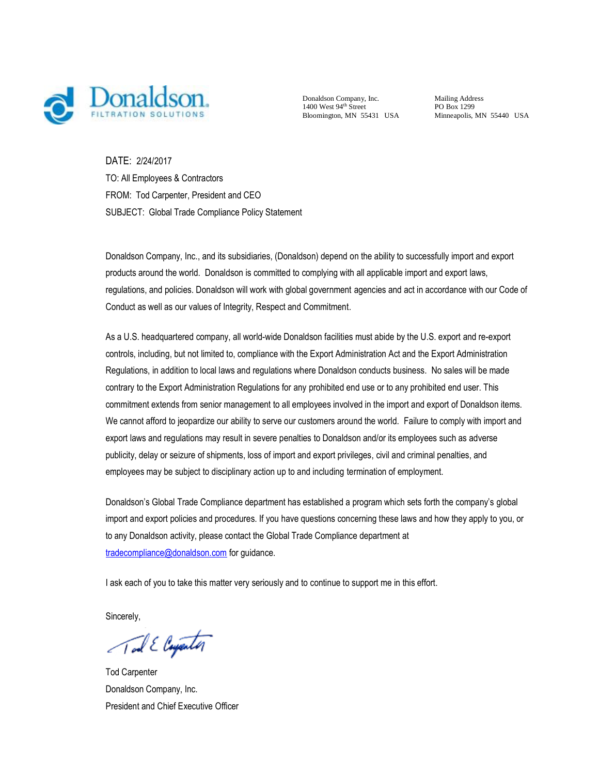

Donaldson Company, Inc.  $1400$  West  $94<sup>th</sup>$  Street Bloomington, MN 55431 USA

Mailing Address PO Box 1299 Minneapolis, MN 55440 USA

DATE: 2/24/2017 TO: All Employees & Contractors FROM: Tod Carpenter, President and CEO SUBJECT: Global Trade Compliance Policy Statement

Donaldson Company, Inc., and its subsidiaries, (Donaldson) depend on the ability to successfully import and export products around the world. Donaldson is committed to complying with all applicable import and export laws, regulations, and policies. Donaldson will work with global government agencies and act in accordance with our Code of Conduct as well as our values of Integrity, Respect and Commitment.

As a U.S. headquartered company, all world-wide Donaldson facilities must abide by the U.S. export and re-export controls, including, but not limited to, compliance with the Export Administration Act and the Export Administration Regulations, in addition to local laws and regulations where Donaldson conducts business. No sales will be made contrary to the Export Administration Regulations for any prohibited end use or to any prohibited end user. This commitment extends from senior management to all employees involved in the import and export of Donaldson items. We cannot afford to jeopardize our ability to serve our customers around the world. Failure to comply with import and export laws and regulations may result in severe penalties to Donaldson and/or its employees such as adverse publicity, delay or seizure of shipments, loss of import and export privileges, civil and criminal penalties, and employees may be subject to disciplinary action up to and including termination of employment.

Donaldson's Global Trade Compliance department has established a program which sets forth the company's global import and export policies and procedures. If you have questions concerning these laws and how they apply to you, or to any Donaldson activity, please contact the Global Trade Compliance department at [tradecompliance@donaldson.com](mailto:tradecompliance@donaldson.com)</u> for guidance.

I ask each of you to take this matter very seriously and to continue to support me in this effort.

Sincerely,

Tal E Cayenter

Tod Carpenter Donaldson Company, Inc. President and Chief Executive Officer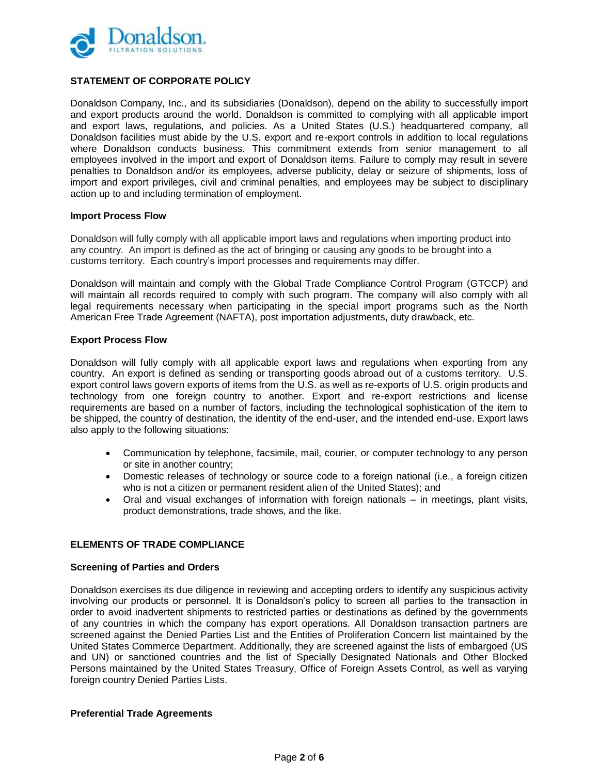

# **STATEMENT OF CORPORATE POLICY**

Donaldson Company, Inc., and its subsidiaries (Donaldson), depend on the ability to successfully import and export products around the world. Donaldson is committed to complying with all applicable import and export laws, regulations, and policies. As a United States (U.S.) headquartered company, all Donaldson facilities must abide by the U.S. export and re-export controls in addition to local regulations where Donaldson conducts business. This commitment extends from senior management to all employees involved in the import and export of Donaldson items. Failure to comply may result in severe penalties to Donaldson and/or its employees, adverse publicity, delay or seizure of shipments, loss of import and export privileges, civil and criminal penalties, and employees may be subject to disciplinary action up to and including termination of employment.

#### **Import Process Flow**

Donaldson will fully comply with all applicable import laws and regulations when importing product into any country. An import is defined as the act of bringing or causing any goods to be brought into a customs territory. Each country's import processes and requirements may differ.

Donaldson will maintain and comply with the Global Trade Compliance Control Program (GTCCP) and will maintain all records required to comply with such program. The company will also comply with all legal requirements necessary when participating in the special import programs such as the North American Free Trade Agreement (NAFTA), post importation adjustments, duty drawback, etc.

# **Export Process Flow**

Donaldson will fully comply with all applicable export laws and regulations when exporting from any country. An export is defined as sending or transporting goods abroad out of a customs territory. U.S. export control laws govern exports of items from the U.S. as well as re-exports of U.S. origin products and technology from one foreign country to another. Export and re-export restrictions and license requirements are based on a number of factors, including the technological sophistication of the item to be shipped, the country of destination, the identity of the end-user, and the intended end-use. Export laws also apply to the following situations:

- Communication by telephone, facsimile, mail, courier, or computer technology to any person or site in another country;
- Domestic releases of technology or source code to a foreign national (i.e., a foreign citizen who is not a citizen or permanent resident alien of the United States); and
- Oral and visual exchanges of information with foreign nationals in meetings, plant visits, product demonstrations, trade shows, and the like.

# **ELEMENTS OF TRADE COMPLIANCE**

#### **Screening of Parties and Orders**

Donaldson exercises its due diligence in reviewing and accepting orders to identify any suspicious activity involving our products or personnel. It is Donaldson's policy to screen all parties to the transaction in order to avoid inadvertent shipments to restricted parties or destinations as defined by the governments of any countries in which the company has export operations. All Donaldson transaction partners are screened against the Denied Parties List and the Entities of Proliferation Concern list maintained by the United States Commerce Department. Additionally, they are screened against the lists of embargoed (US and UN) or sanctioned countries and the list of Specially Designated Nationals and Other Blocked Persons maintained by the United States Treasury, Office of Foreign Assets Control, as well as varying foreign country Denied Parties Lists.

#### **Preferential Trade Agreements**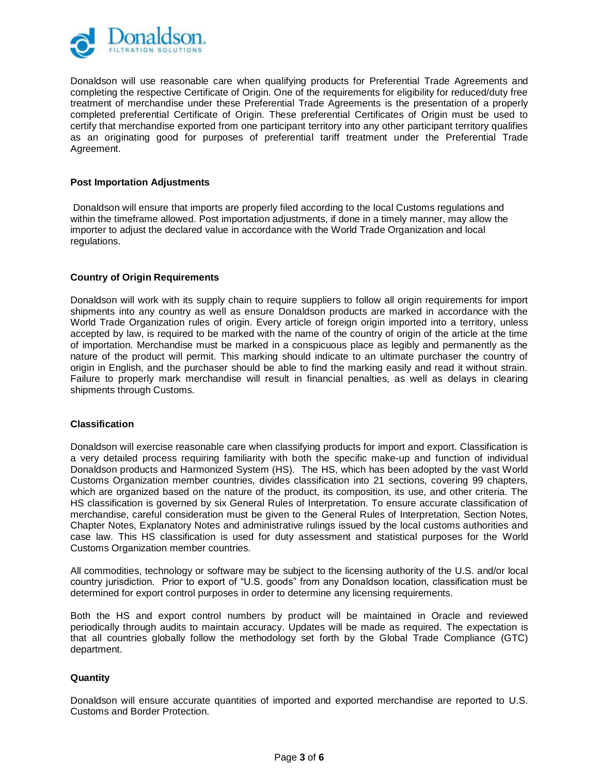

Donaldson will use reasonable care when qualifying products for Preferential Trade Agreements and completing the respective Certificate of Origin. One of the requirements for eligibility for reduced/duty free treatment of merchandise under these Preferential Trade Agreements is the presentation of a properly completed preferential Certificate of Origin. These preferential Certificates of Origin must be used to certify that merchandise exported from one participant territory into any other participant territory qualifies as an originating good for purposes of preferential tariff treatment under the Preferential Trade Agreement.

## **Post Importation Adjustments**

Donaldson will ensure that imports are properly filed according to the local Customs regulations and within the timeframe allowed. Post importation adjustments, if done in a timely manner, may allow the importer to adjust the declared value in accordance with the World Trade Organization and local regulations.

# **Country of Origin Requirements**

Donaldson will work with its supply chain to require suppliers to follow all origin requirements for import shipments into any country as well as ensure Donaldson products are marked in accordance with the World Trade Organization rules of origin. Every article of foreign origin imported into a territory, unless accepted by law, is required to be marked with the name of the country of origin of the article at the time of importation. Merchandise must be marked in a conspicuous place as legibly and permanently as the nature of the product will permit. This marking should indicate to an ultimate purchaser the country of origin in English, and the purchaser should be able to find the marking easily and read it without strain. Failure to properly mark merchandise will result in financial penalties, as well as delays in clearing shipments through Customs.

# **Classification**

Donaldson will exercise reasonable care when classifying products for import and export. Classification is a very detailed process requiring familiarity with both the specific make-up and function of individual Donaldson products and Harmonized System (HS). The HS, which has been adopted by the vast World Customs Organization member countries, divides classification into 21 sections, covering 99 chapters, which are organized based on the nature of the product, its composition, its use, and other criteria. The HS classification is governed by six General Rules of Interpretation. To ensure accurate classification of merchandise, careful consideration must be given to the General Rules of Interpretation, Section Notes, Chapter Notes, Explanatory Notes and administrative rulings issued by the local customs authorities and case law. This HS classification is used for duty assessment and statistical purposes for the World Customs Organization member countries.

All commodities, technology or software may be subject to the licensing authority of the U.S. and/or local country jurisdiction. Prior to export of "U.S. goods" from any Donaldson location, classification must be determined for export control purposes in order to determine any licensing requirements.

Both the HS and export control numbers by product will be maintained in Oracle and reviewed periodically through audits to maintain accuracy. Updates will be made as required. The expectation is that all countries globally follow the methodology set forth by the Global Trade Compliance (GTC) department.

# **Quantity**

Donaldson will ensure accurate quantities of imported and exported merchandise are reported to U.S. Customs and Border Protection.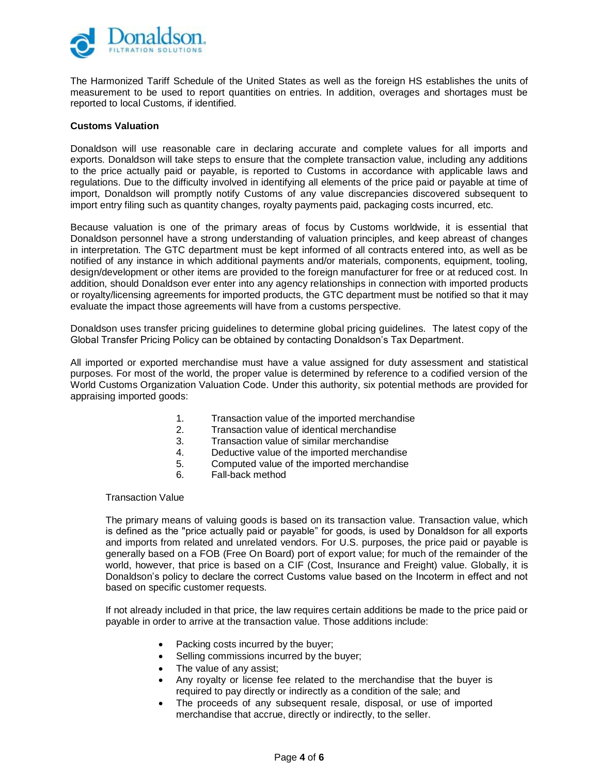

The Harmonized Tariff Schedule of the United States as well as the foreign HS establishes the units of measurement to be used to report quantities on entries. In addition, overages and shortages must be reported to local Customs, if identified.

## **Customs Valuation**

Donaldson will use reasonable care in declaring accurate and complete values for all imports and exports. Donaldson will take steps to ensure that the complete transaction value, including any additions to the price actually paid or payable, is reported to Customs in accordance with applicable laws and regulations. Due to the difficulty involved in identifying all elements of the price paid or payable at time of import, Donaldson will promptly notify Customs of any value discrepancies discovered subsequent to import entry filing such as quantity changes, royalty payments paid, packaging costs incurred, etc.

Because valuation is one of the primary areas of focus by Customs worldwide, it is essential that Donaldson personnel have a strong understanding of valuation principles, and keep abreast of changes in interpretation. The GTC department must be kept informed of all contracts entered into, as well as be notified of any instance in which additional payments and/or materials, components, equipment, tooling, design/development or other items are provided to the foreign manufacturer for free or at reduced cost. In addition, should Donaldson ever enter into any agency relationships in connection with imported products or royalty/licensing agreements for imported products, the GTC department must be notified so that it may evaluate the impact those agreements will have from a customs perspective.

Donaldson uses transfer pricing guidelines to determine global pricing guidelines. The latest copy of the Global Transfer Pricing Policy can be obtained by contacting Donaldson's Tax Department.

All imported or exported merchandise must have a value assigned for duty assessment and statistical purposes. For most of the world, the proper value is determined by reference to a codified version of the World Customs Organization Valuation Code. Under this authority, six potential methods are provided for appraising imported goods:

- 1. Transaction value of the imported merchandise
- 2. Transaction value of identical merchandise
- 3. Transaction value of similar merchandise
- 4. Deductive value of the imported merchandise
- 5. Computed value of the imported merchandise
- 6. Fall-back method

Transaction Value

The primary means of valuing goods is based on its transaction value. Transaction value, which is defined as the "price actually paid or payable" for goods, is used by Donaldson for all exports and imports from related and unrelated vendors. For U.S. purposes, the price paid or payable is generally based on a FOB (Free On Board) port of export value; for much of the remainder of the world, however, that price is based on a CIF (Cost, Insurance and Freight) value. Globally, it is Donaldson's policy to declare the correct Customs value based on the Incoterm in effect and not based on specific customer requests.

If not already included in that price, the law requires certain additions be made to the price paid or payable in order to arrive at the transaction value. Those additions include:

- Packing costs incurred by the buyer;
- Selling commissions incurred by the buyer;
- The value of any assist;
- Any royalty or license fee related to the merchandise that the buyer is required to pay directly or indirectly as a condition of the sale; and
- The proceeds of any subsequent resale, disposal, or use of imported merchandise that accrue, directly or indirectly, to the seller.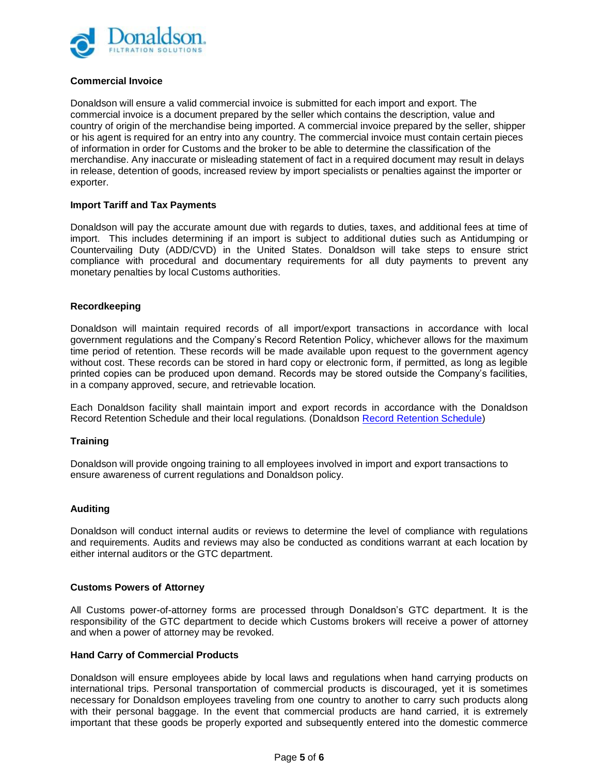

# **Commercial Invoice**

Donaldson will ensure a valid commercial invoice is submitted for each import and export. The commercial invoice is a document prepared by the seller which contains the description, value and country of origin of the merchandise being imported. A commercial invoice prepared by the seller, shipper or his agent is required for an entry into any country. The commercial invoice must contain certain pieces of information in order for Customs and the broker to be able to determine the classification of the merchandise. Any inaccurate or misleading statement of fact in a required document may result in delays in release, detention of goods, increased review by import specialists or penalties against the importer or exporter.

# **Import Tariff and Tax Payments**

Donaldson will pay the accurate amount due with regards to duties, taxes, and additional fees at time of import. This includes determining if an import is subject to additional duties such as Antidumping or Countervailing Duty (ADD/CVD) in the United States. Donaldson will take steps to ensure strict compliance with procedural and documentary requirements for all duty payments to prevent any monetary penalties by local Customs authorities.

# **Recordkeeping**

Donaldson will maintain required records of all import/export transactions in accordance with local government regulations and the Company's Record Retention Policy, whichever allows for the maximum time period of retention. These records will be made available upon request to the government agency without cost. These records can be stored in hard copy or electronic form, if permitted, as long as legible printed copies can be produced upon demand. Records may be stored outside the Company's facilities, in a company approved, secure, and retrievable location.

Each Donaldson facility shall maintain import and export records in accordance with the Donaldson Record Retention Schedule and their local regulations. (Donaldson [Record Retention Schedule\)](http://mydci.dci.com/dept/USFacilitiesDocuments/Record%20Retention%20Schedule%20416.003.000-001.pdf)

# **Training**

Donaldson will provide ongoing training to all employees involved in import and export transactions to ensure awareness of current regulations and Donaldson policy.

# **Auditing**

Donaldson will conduct internal audits or reviews to determine the level of compliance with regulations and requirements. Audits and reviews may also be conducted as conditions warrant at each location by either internal auditors or the GTC department.

# **Customs Powers of Attorney**

All Customs power-of-attorney forms are processed through Donaldson's GTC department. It is the responsibility of the GTC department to decide which Customs brokers will receive a power of attorney and when a power of attorney may be revoked.

# **Hand Carry of Commercial Products**

Donaldson will ensure employees abide by local laws and regulations when hand carrying products on international trips. Personal transportation of commercial products is discouraged, yet it is sometimes necessary for Donaldson employees traveling from one country to another to carry such products along with their personal baggage. In the event that commercial products are hand carried, it is extremely important that these goods be properly exported and subsequently entered into the domestic commerce